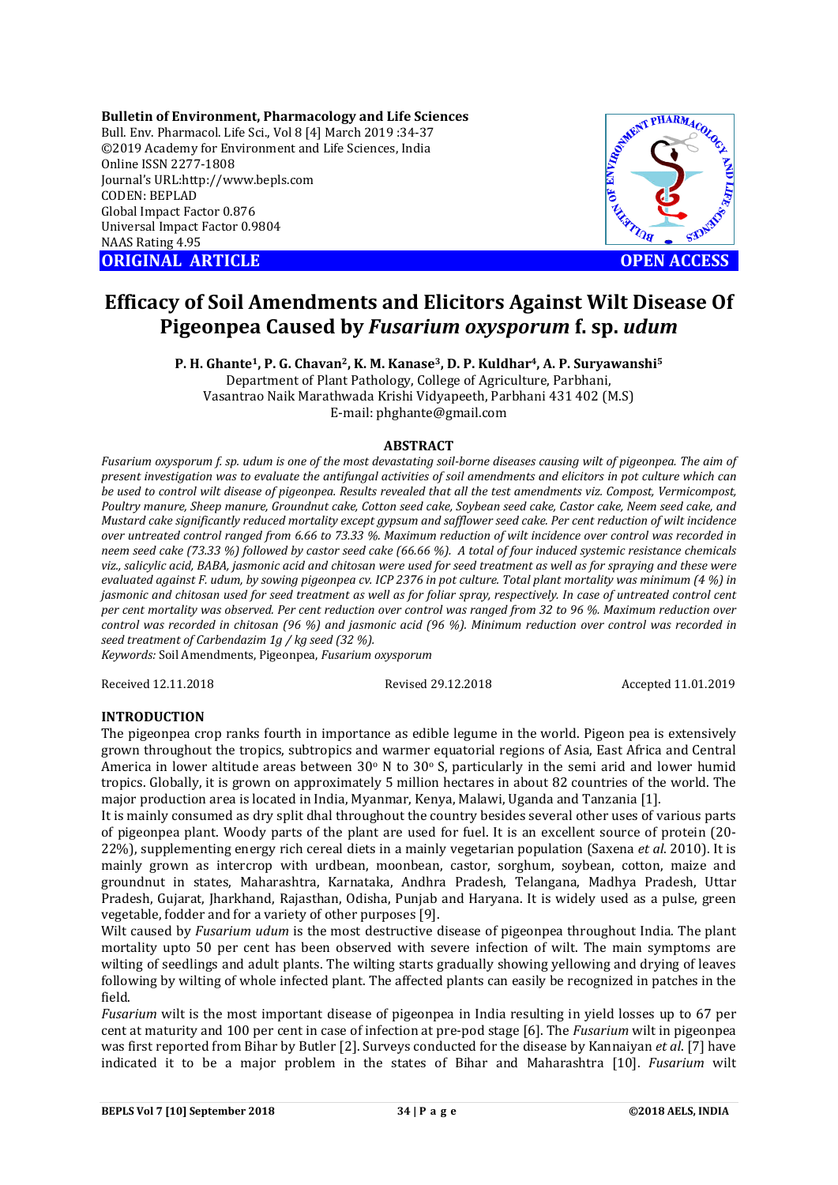**Bulletin of Environment, Pharmacology and Life Sciences** Bull. Env. Pharmacol. Life Sci., Vol 8 [4] March 2019 :34-37 ©2019 Academy for Environment and Life Sciences, India Online ISSN 2277-1808 Journal's URL:http://www.bepls.com CODEN: BEPLAD Global Impact Factor 0.876 Universal Impact Factor 0.9804 NAAS Rating 4.95

**ORIGINAL ARTICLE OPEN ACCESS** 



# **Efficacy of Soil Amendments and Elicitors Against Wilt Disease Of Pigeonpea Caused by** *Fusarium oxysporum* **f. sp.** *udum*

**P. H. Ghante1, P. G. Chavan2, K. M. Kanase3, D. P. Kuldhar4, A. P. Suryawanshi5** Department of Plant Pathology, College of Agriculture, Parbhani, Vasantrao Naik Marathwada Krishi Vidyapeeth, Parbhani 431 402 (M.S) E-mail: phghante@gmail.com

### **ABSTRACT**

*Fusarium oxysporum f. sp. udum is one of the most devastating soil-borne diseases causing wilt of pigeonpea. The aim of present investigation was to evaluate the antifungal activities of soil amendments and elicitors in pot culture which can be used to control wilt disease of pigeonpea. Results revealed that all the test amendments viz. Compost, Vermicompost, Poultry manure, Sheep manure, Groundnut cake, Cotton seed cake, Soybean seed cake, Castor cake, Neem seed cake, and Mustard cake significantly reduced mortality except gypsum and safflower seed cake. Per cent reduction of wilt incidence over untreated control ranged from 6.66 to 73.33 %. Maximum reduction of wilt incidence over control was recorded in neem seed cake (73.33 %) followed by castor seed cake (66.66 %). A total of four induced systemic resistance chemicals viz., salicylic acid, BABA, jasmonic acid and chitosan were used for seed treatment as well as for spraying and these were evaluated against F. udum, by sowing pigeonpea cv. ICP 2376 in pot culture. Total plant mortality was minimum (4 %) in jasmonic and chitosan used for seed treatment as well as for foliar spray, respectively. In case of untreated control cent per cent mortality was observed. Per cent reduction over control was ranged from 32 to 96 %. Maximum reduction over control was recorded in chitosan (96 %) and jasmonic acid (96 %). Minimum reduction over control was recorded in seed treatment of Carbendazim 1g / kg seed (32 %).*

*Keywords:* Soil Amendments, Pigeonpea, *Fusarium oxysporum*

Received 12.11.2018 Revised 29.12.2018 Accepted 11.01.2019

# **INTRODUCTION**

The pigeonpea crop ranks fourth in importance as edible legume in the world. Pigeon pea is extensively grown throughout the tropics, subtropics and warmer equatorial regions of Asia, East Africa and Central America in lower altitude areas between  $30^{\circ}$  N to  $30^{\circ}$  S, particularly in the semi arid and lower humid tropics. Globally, it is grown on approximately 5 million hectares in about 82 countries of the world. The major production area is located in India, Myanmar, Kenya, Malawi, Uganda and Tanzania [1].

It is mainly consumed as dry split dhal throughout the country besides several other uses of various parts of pigeonpea plant. Woody parts of the plant are used for fuel. It is an excellent source of protein (20- 22%), supplementing energy rich cereal diets in a mainly vegetarian population (Saxena *et al*. 2010). It is mainly grown as intercrop with urdbean, moonbean, castor, sorghum, soybean, cotton, maize and groundnut in states, Maharashtra, Karnataka, Andhra Pradesh, Telangana, Madhya Pradesh, Uttar Pradesh, Gujarat, Jharkhand, Rajasthan, Odisha, Punjab and Haryana. It is widely used as a pulse, green vegetable, fodder and for a variety of other purposes [9].

Wilt caused by *Fusarium udum* is the most destructive disease of pigeonpea throughout India. The plant mortality upto 50 per cent has been observed with severe infection of wilt. The main symptoms are wilting of seedlings and adult plants. The wilting starts gradually showing yellowing and drying of leaves following by wilting of whole infected plant. The affected plants can easily be recognized in patches in the field.

*Fusarium* wilt is the most important disease of pigeonpea in India resulting in yield losses up to 67 per cent at maturity and 100 per cent in case of infection at pre-pod stage [6]. The *Fusarium* wilt in pigeonpea was first reported from Bihar by Butler [2]. Surveys conducted for the disease by Kannaiyan *et al*. [7] have indicated it to be a major problem in the states of Bihar and Maharashtra [10]. *Fusarium* wilt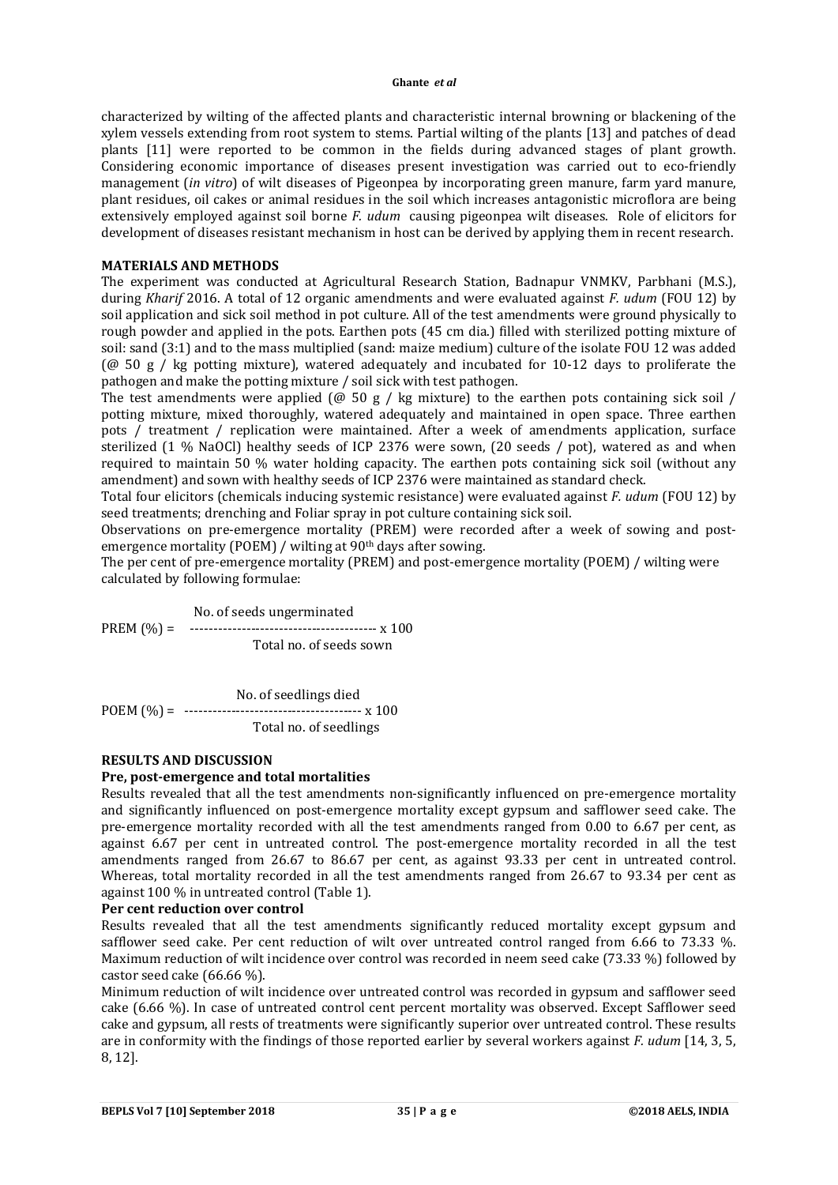#### **Ghante** *et al*

characterized by wilting of the affected plants and characteristic internal browning or blackening of the xylem vessels extending from root system to stems. Partial wilting of the plants [13] and patches of dead plants [11] were reported to be common in the fields during advanced stages of plant growth. Considering economic importance of diseases present investigation was carried out to eco-friendly management (*in vitro*) of wilt diseases of Pigeonpea by incorporating green manure, farm yard manure, plant residues, oil cakes or animal residues in the soil which increases antagonistic microflora are being extensively employed against soil borne *F. udum* causing pigeonpea wilt diseases. Role of elicitors for development of diseases resistant mechanism in host can be derived by applying them in recent research.

## **MATERIALS AND METHODS**

The experiment was conducted at Agricultural Research Station, Badnapur VNMKV, Parbhani (M.S.), during *Kharif* 2016. A total of 12 organic amendments and were evaluated against *F. udum* (FOU 12) by soil application and sick soil method in pot culture. All of the test amendments were ground physically to rough powder and applied in the pots. Earthen pots (45 cm dia.) filled with sterilized potting mixture of soil: sand (3:1) and to the mass multiplied (sand: maize medium) culture of the isolate FOU 12 was added  $(\omega$  50 g / kg potting mixture), watered adequately and incubated for 10-12 days to proliferate the pathogen and make the potting mixture / soil sick with test pathogen.

The test amendments were applied ( $\omega$  50 g / kg mixture) to the earthen pots containing sick soil / potting mixture, mixed thoroughly, watered adequately and maintained in open space. Three earthen pots / treatment / replication were maintained. After a week of amendments application, surface sterilized (1 % NaOCl) healthy seeds of ICP 2376 were sown, (20 seeds / pot), watered as and when required to maintain 50 % water holding capacity. The earthen pots containing sick soil (without any amendment) and sown with healthy seeds of ICP 2376 were maintained as standard check.

Total four elicitors (chemicals inducing systemic resistance) were evaluated against *F. udum* (FOU 12) by seed treatments; drenching and Foliar spray in pot culture containing sick soil.

Observations on pre-emergence mortality (PREM) were recorded after a week of sowing and postemergence mortality (POEM) / wilting at 90<sup>th</sup> days after sowing.

The per cent of pre-emergence mortality (PREM) and post-emergence mortality (POEM) / wilting were calculated by following formulae:

 No. of seeds ungerminated PREM (%) = ---------------------------------------- x 100 Total no. of seeds sown

 No. of seedlings died POEM (%) = -------------------------------------- x 100 Total no. of seedlings

### **RESULTS AND DISCUSSION**

# **Pre, post-emergence and total mortalities**

Results revealed that all the test amendments non-significantly influenced on pre-emergence mortality and significantly influenced on post-emergence mortality except gypsum and safflower seed cake. The pre-emergence mortality recorded with all the test amendments ranged from 0.00 to 6.67 per cent, as against 6.67 per cent in untreated control. The post-emergence mortality recorded in all the test amendments ranged from 26.67 to 86.67 per cent, as against 93.33 per cent in untreated control. Whereas, total mortality recorded in all the test amendments ranged from 26.67 to 93.34 per cent as against 100 % in untreated control (Table 1).

## **Per cent reduction over control**

Results revealed that all the test amendments significantly reduced mortality except gypsum and safflower seed cake. Per cent reduction of wilt over untreated control ranged from 6.66 to 73.33 %. Maximum reduction of wilt incidence over control was recorded in neem seed cake (73.33 %) followed by castor seed cake (66.66 %).

Minimum reduction of wilt incidence over untreated control was recorded in gypsum and safflower seed cake (6.66 %). In case of untreated control cent percent mortality was observed. Except Safflower seed cake and gypsum, all rests of treatments were significantly superior over untreated control. These results are in conformity with the findings of those reported earlier by several workers against *F. udum* [14, 3, 5, 8, 12].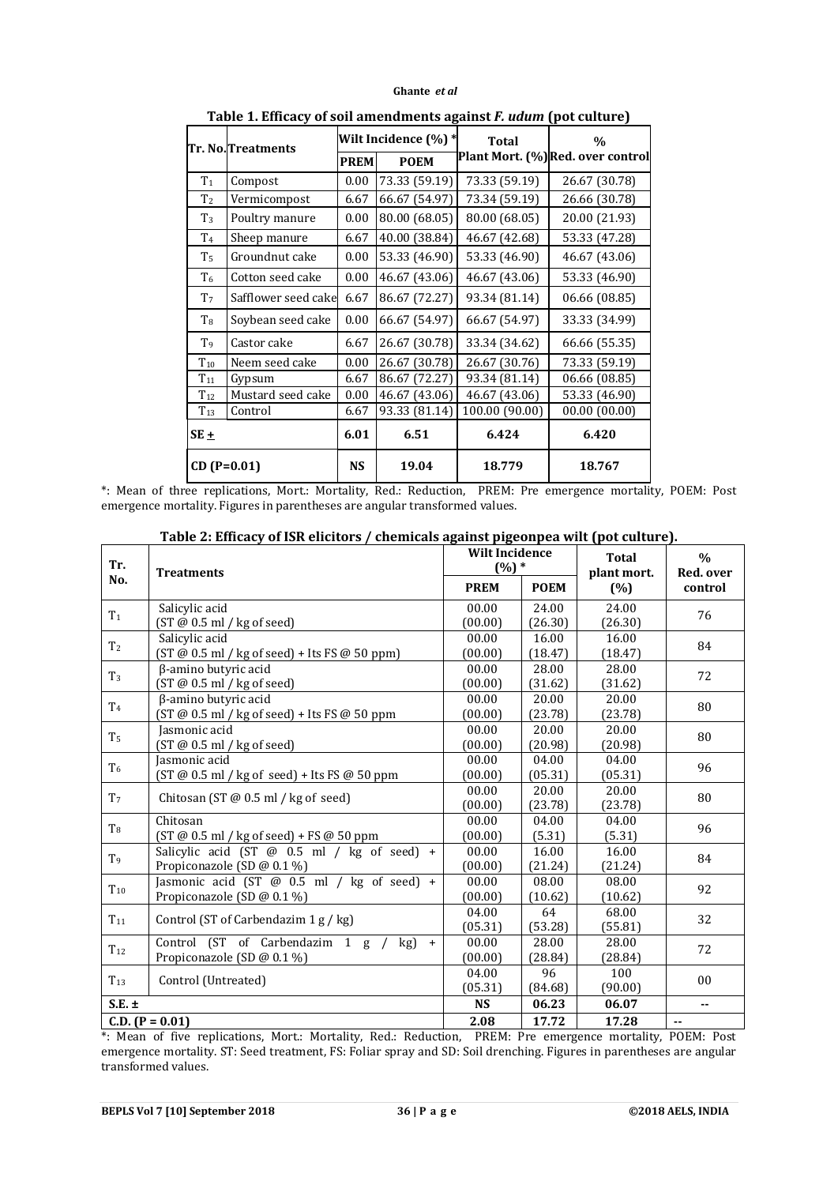#### **Ghante** *et al*

|                | rabic 1. Emcacy or son amenuments against F. auam (pot cuiture) |                      |               |                |                                   |  |
|----------------|-----------------------------------------------------------------|----------------------|---------------|----------------|-----------------------------------|--|
|                | Tr. No.Treatments                                               | Wilt Incidence (%) * |               | <b>Total</b>   | $\frac{0}{0}$                     |  |
|                |                                                                 | <b>PREM</b>          | <b>POEM</b>   |                | Plant Mort. (%) Red. over control |  |
| T <sub>1</sub> | Compost                                                         | 0.00                 | 73.33 (59.19) | 73.33 (59.19)  | 26.67 (30.78)                     |  |
| T <sub>2</sub> | Vermicompost                                                    | 6.67                 | 66.67 (54.97) | 73.34 (59.19)  | 26.66 (30.78)                     |  |
| $T_3$          | Poultry manure                                                  | 0.00                 | 80.00 (68.05) | 80.00 (68.05)  | 20.00 (21.93)                     |  |
| T <sub>4</sub> | Sheep manure                                                    | 6.67                 | 40.00 (38.84) | 46.67 (42.68)  | 53.33 (47.28)                     |  |
| T <sub>5</sub> | Groundnut cake                                                  | 0.00                 | 53.33 (46.90) | 53.33 (46.90)  | 46.67 (43.06)                     |  |
| T <sub>6</sub> | Cotton seed cake                                                | 0.00                 | 46.67 (43.06) | 46.67 (43.06)  | 53.33 (46.90)                     |  |
| T <sub>7</sub> | Safflower seed cake                                             | 6.67                 | 86.67 (72.27) | 93.34 (81.14)  | 06.66 (08.85)                     |  |
| $T_8$          | Soybean seed cake                                               | 0.00                 | 66.67 (54.97) | 66.67 (54.97)  | 33.33 (34.99)                     |  |
| T <sub>9</sub> | Castor cake                                                     | 6.67                 | 26.67 (30.78) | 33.34 (34.62)  | 66.66 (55.35)                     |  |
| $\rm T_{10}$   | Neem seed cake                                                  | 0.00                 | 26.67 (30.78) | 26.67 (30.76)  | 73.33 (59.19)                     |  |
| $T_{11}$       | Gypsum                                                          | 6.67                 | 86.67 (72.27) | 93.34 (81.14)  | 06.66 (08.85)                     |  |
| $T_{12}$       | Mustard seed cake                                               | 0.00                 | 46.67 (43.06) | 46.67 (43.06)  | 53.33 (46.90)                     |  |
| $T_{13}$       | Control                                                         | 6.67                 | 93.33 (81.14) | 100.00 (90.00) | 00.00(00.00)                      |  |
| SE+            |                                                                 | 6.01                 | 6.51<br>6.424 |                | 6.420                             |  |
| $CD (P=0.01)$  |                                                                 | <b>NS</b>            | 19.04         | 18.779         | 18.767                            |  |

**Table 1. Efficacy of soil amendments against** *F. udum* **(pot culture)**

\*: Mean of three replications, Mort.: Mortality, Red.: Reduction, PREM: Pre emergence mortality, POEM: Post emergence mortality. Figures in parentheses are angular transformed values.

| Tr.               | <b>Treatments</b>                               | <b>Wilt Incidence</b><br>$(%) *$ |             | <b>Total</b><br>plant mort. | $\frac{0}{0}$<br>Red. over |
|-------------------|-------------------------------------------------|----------------------------------|-------------|-----------------------------|----------------------------|
| No.               |                                                 | <b>PREM</b>                      | <b>POEM</b> | (%)                         | control                    |
| T <sub>1</sub>    | Salicylic acid                                  | 00.00                            | 24.00       | 24.00                       | 76                         |
|                   | $(ST@0.5m]/kg$ of seed)                         | (00.00)                          | (26.30)     | (26.30)                     |                            |
| T <sub>2</sub>    | Salicylic acid                                  | 00.00                            | 16.00       | 16.00                       | 84                         |
|                   | $(ST @ 0.5 m1 / kg of seed) + Its FS @ 50 ppm)$ | (00.00)                          | (18.47)     | (18.47)                     |                            |
| $T_3$             | β-amino butyric acid                            | 00.00                            | 28.00       | 28.00                       | 72                         |
|                   | (ST @ 0.5 m]/ kg of seed)                       | (00.00)                          | (31.62)     | (31.62)                     |                            |
| T <sub>4</sub>    | β-amino butyric acid                            | 00.00                            | 20.00       | 20.00                       | 80                         |
|                   | (ST @ 0.5 ml / kg of seed) + Its FS @ 50 ppm    | (00.00)                          | (23.78)     | (23.78)                     |                            |
| T <sub>5</sub>    | Jasmonic acid                                   | 00.00                            | 20.00       | 20.00                       | 80                         |
|                   | $(ST@0.5m]/kg$ of seed)                         | (00.00)                          | (20.98)     | (20.98)                     |                            |
| T <sub>6</sub>    | Jasmonic acid                                   | 00.00                            | 04.00       | 04.00                       | 96                         |
|                   | (ST @ 0.5 ml / kg of seed) + Its FS @ 50 ppm    | (00.00)                          | (05.31)     | (05.31)                     |                            |
| T <sub>7</sub>    |                                                 | 00.00                            | 20.00       | 20.00                       | 80                         |
|                   | Chitosan (ST $@0.5$ ml / kg of seed)            | (00.00)                          | (23.78)     | (23.78)                     |                            |
| $T_8$             | Chitosan                                        | 00.00                            | 04.00       | 04.00                       | 96                         |
|                   | $(ST @ 0.5 m1 / kg of seed) + FS @ 50 ppm$      | (00.00)                          | (5.31)      | (5.31)                      |                            |
| T <sub>9</sub>    | Salicylic acid (ST $@$ 0.5 ml / kg of seed) +   | 00.00                            | 16.00       | 16.00                       | 84                         |
|                   | Propiconazole (SD @ 0.1 %)                      | (00.00)                          | (21.24)     | (21.24)                     |                            |
| $T_{10}$          | Jasmonic acid (ST $@$ 0.5 ml / kg of seed) +    | 00.00                            | 08.00       | 08.00                       | 92                         |
|                   | Propiconazole (SD @ 0.1 %)                      | (00.00)                          | (10.62)     | (10.62)                     |                            |
| $T_{11}$          |                                                 | 04.00                            | 64          | 68.00                       | 32                         |
|                   | Control (ST of Carbendazim 1 g / kg)            | (05.31)                          | (53.28)     | (55.81)                     |                            |
| $T_{12}$          | Control $(ST$ of Carbendazim 1 g / kg) +        | 00.00                            | 28.00       | 28.00                       | 72                         |
|                   | Propiconazole (SD @ 0.1 %)                      | (00.00)                          | (28.84)     | (28.84)                     |                            |
| $T_{13}$          |                                                 | 04.00                            | 96          | 100                         | 00                         |
|                   | Control (Untreated)                             | (05.31)                          | (84.68)     | (90.00)                     |                            |
| $S.E. \pm$        |                                                 | <b>NS</b>                        | 06.23       | 06.07                       | н.                         |
| $C.D. (P = 0.01)$ |                                                 | 2.08                             | 17.72       | 17.28                       | н.                         |

**Table 2: Efficacy of ISR elicitors / chemicals against pigeonpea wilt (pot culture).**

\*: Mean of five replications, Mort.: Mortality, Red.: Reduction, PREM: Pre emergence mortality, POEM: Post emergence mortality. ST: Seed treatment, FS: Foliar spray and SD: Soil drenching. Figures in parentheses are angular transformed values.